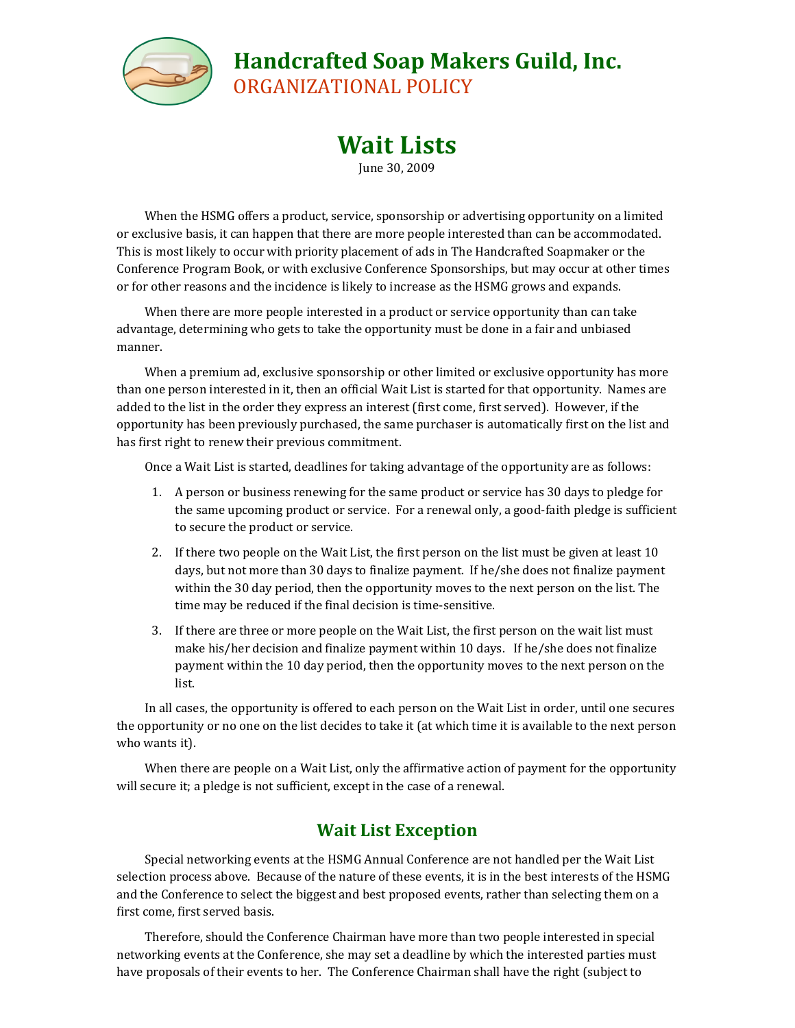

## **Handcrafted Soap Makers Guild, Inc.**

ORGANIZATIONAL POLICY

## **Wait Lists**

June 30, 2009

When the HSMG offers a product, service, sponsorship or advertising opportunity on a limited or exclusive basis, it can happen that there are more people interested than can be accommodated. This is most likely to occur with priority placement of ads in The Handcrafted Soapmaker or the Conference Program Book, or with exclusive Conference Sponsorships, but may occur at other times or for other reasons and the incidence is likely to increase as the HSMG grows and expands.

When there are more people interested in a product or service opportunity than can take advantage, determining who gets to take the opportunity must be done in a fair and unbiased manner.

When a premium ad, exclusive sponsorship or other limited or exclusive opportunity has more than one person interested in it, then an official Wait List is started for that opportunity. Names are added to the list in the order they express an interest (first come, first served). However, if the opportunity has been previously purchased, the same purchaser is automatically first on the list and has first right to renew their previous commitment.

Once a Wait List is started, deadlines for taking advantage of the opportunity are as follows:

- 1. A person or business renewing for the same product or service has 30 days to pledge for the same upcoming product or service. For a renewal only, a good-faith pledge is sufficient to secure the product or service.
- 2. If there two people on the Wait List, the first person on the list must be given at least 10 days, but not more than 30 days to finalize payment. If he/she does not finalize payment within the 30 day period, then the opportunity moves to the next person on the list. The time may be reduced if the final decision is time-sensitive.
- 3. If there are three or more people on the Wait List, the first person on the wait list must make his/her decision and finalize payment within 10 days. If he/she does not finalize payment within the 10 day period, then the opportunity moves to the next person on the list.

In all cases, the opportunity is offered to each person on the Wait List in order, until one secures the opportunity or no one on the list decides to take it (at which time it is available to the next person who wants it).

When there are people on a Wait List, only the affirmative action of payment for the opportunity will secure it; a pledge is not sufficient, except in the case of a renewal.

## **Wait List Exception**

Special networking events at the HSMG Annual Conference are not handled per the Wait List selection process above. Because of the nature of these events, it is in the best interests of the HSMG and the Conference to select the biggest and best proposed events, rather than selecting them on a first come, first served basis.

Therefore, should the Conference Chairman have more than two people interested in special networking events at the Conference, she may set a deadline by which the interested parties must have proposals of their events to her. The Conference Chairman shall have the right (subject to